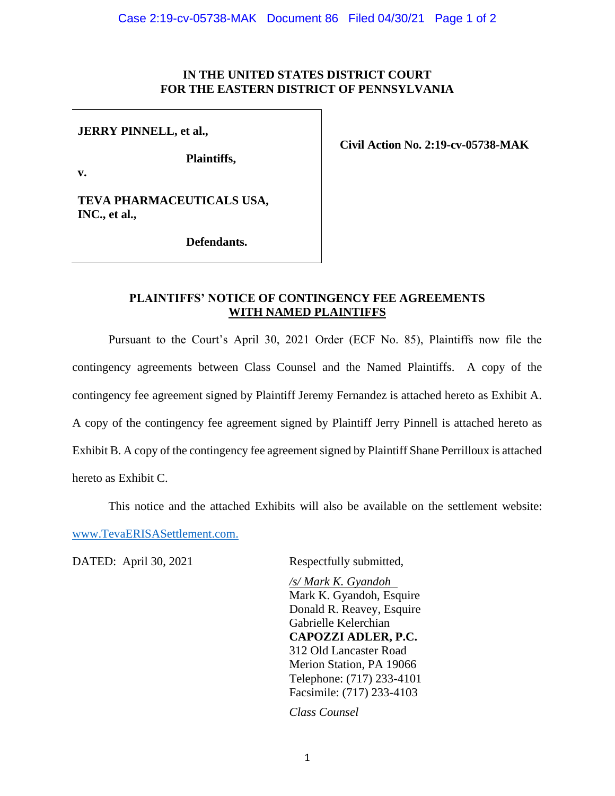## **IN THE UNITED STATES DISTRICT COURT FOR THE EASTERN DISTRICT OF PENNSYLVANIA**

**JERRY PINNELL, et al.,**

**Plaintiffs,**

**Civil Action No. 2:19-cv-05738-MAK**

**v.**

**TEVA PHARMACEUTICALS USA, INC., et al.,** 

**Defendants.**

## **PLAINTIFFS' NOTICE OF CONTINGENCY FEE AGREEMENTS WITH NAMED PLAINTIFFS**

Pursuant to the Court's April 30, 2021 Order (ECF No. 85), Plaintiffs now file the contingency agreements between Class Counsel and the Named Plaintiffs. A copy of the contingency fee agreement signed by Plaintiff Jeremy Fernandez is attached hereto as Exhibit A. A copy of the contingency fee agreement signed by Plaintiff Jerry Pinnell is attached hereto as Exhibit B. A copy of the contingency fee agreement signed by Plaintiff Shane Perrilloux is attached hereto as Exhibit C.

This notice and the attached Exhibits will also be available on the settlement website:

[www.TevaERISASettlement.com.](http://www.tevaerisasettlement.com/)

DATED: April 30, 2021 Respectfully submitted,

*/s/ Mark K. Gyandoh* Mark K. Gyandoh, Esquire Donald R. Reavey, Esquire Gabrielle Kelerchian **CAPOZZI ADLER, P.C.** 312 Old Lancaster Road Merion Station, PA 19066 Telephone: (717) 233-4101 Facsimile: (717) 233-4103

*Class Counsel*